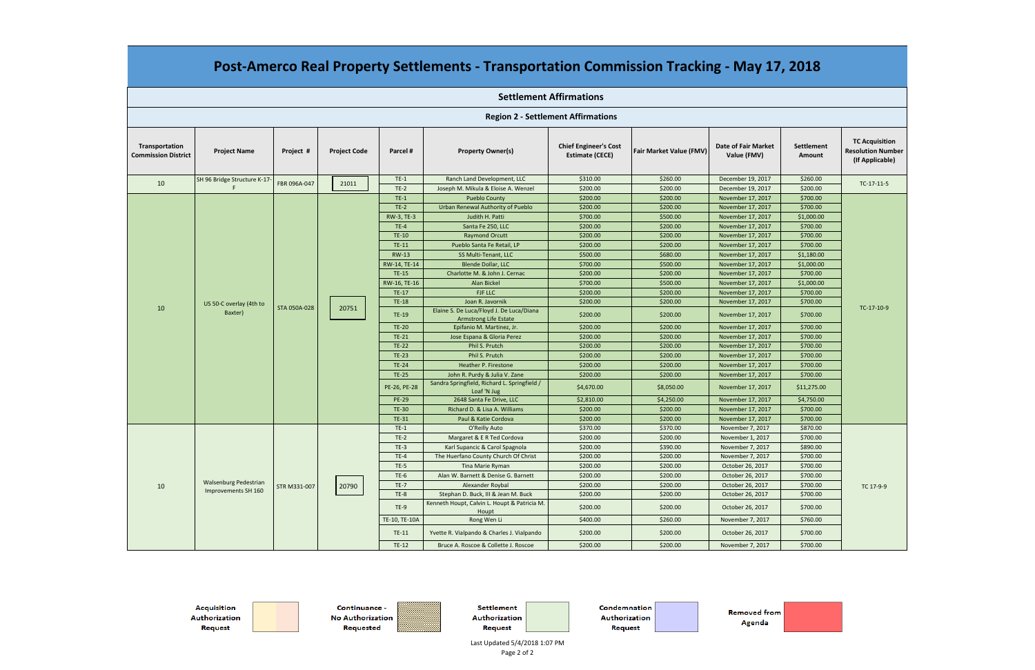| <b>Region 2 - Settlement Affirmations</b>    |                                                     |              |                     |               |                                                                          |                                                        |                         |                                           |                                    |                                                                      |  |
|----------------------------------------------|-----------------------------------------------------|--------------|---------------------|---------------|--------------------------------------------------------------------------|--------------------------------------------------------|-------------------------|-------------------------------------------|------------------------------------|----------------------------------------------------------------------|--|
| Transportation<br><b>Commission District</b> | <b>Project Name</b>                                 | Project #    | <b>Project Code</b> | Parcel #      | <b>Property Owner(s)</b>                                                 | <b>Chief Engineer's Cost</b><br><b>Estimate (CECE)</b> | Fair Market Value (FMV) | <b>Date of Fair Market</b><br>Value (FMV) | <b>Settlement</b><br><b>Amount</b> | <b>TC Acquisition</b><br><b>Resolution Number</b><br>(If Applicable) |  |
|                                              | SH 96 Bridge Structure K-17-                        |              | 21011               | $TE-1$        | Ranch Land Development, LLC                                              | \$310.00                                               | \$260.00                | December 19, 2017                         | \$260.00                           |                                                                      |  |
| 10                                           | F.                                                  | FBR 096A-047 |                     | $TE-2$        | Joseph M. Mikula & Eloise A. Wenzel                                      | \$200.00                                               | \$200.00                | December 19, 2017                         | \$200.00                           | TC-17-11-5                                                           |  |
|                                              |                                                     |              |                     | $TE-1$        | <b>Pueblo County</b>                                                     | \$200.00                                               | \$200.00                | November 17, 2017                         | \$700.00                           |                                                                      |  |
|                                              |                                                     |              |                     | $TE-2$        | Urban Renewal Authority of Pueblo                                        | \$200.00                                               | \$200.00                | November 17, 2017                         | \$700.00                           |                                                                      |  |
|                                              |                                                     |              |                     | RW-3, TE-3    | Judith H. Patti                                                          | \$700.00                                               | \$500.00                | November 17, 2017                         | \$1,000.00                         |                                                                      |  |
|                                              |                                                     |              |                     | $TE-4$        | Santa Fe 250, LLC                                                        | \$200.00                                               | \$200.00                | November 17, 2017                         | \$700.00                           |                                                                      |  |
|                                              |                                                     |              | 20751               | <b>TE-10</b>  | <b>Raymond Orcutt</b>                                                    | \$200.00                                               | \$200.00                | November 17, 2017                         | \$700.00                           |                                                                      |  |
|                                              |                                                     |              |                     | $TE-11$       | Pueblo Santa Fe Retail, LP                                               | \$200.00                                               | \$200.00                | November 17, 2017                         | \$700.00                           |                                                                      |  |
|                                              |                                                     |              |                     | <b>RW-13</b>  | SS Multi-Tenant, LLC                                                     | \$500.00                                               | \$680.00                | November 17, 2017                         | \$1,180.00                         |                                                                      |  |
|                                              |                                                     |              |                     | RW-14, TE-14  | <b>Blende Dollar, LLC</b>                                                | \$700.00                                               | \$500.00                | November 17, 2017                         | \$1,000.00                         |                                                                      |  |
|                                              |                                                     |              |                     | <b>TE-15</b>  | Charlotte M. & John J. Cernac                                            | \$200.00                                               | \$200.00                | November 17, 2017                         | \$700.00                           |                                                                      |  |
|                                              |                                                     |              |                     | RW-16, TE-16  | <b>Alan Bickel</b>                                                       | \$700.00                                               | \$500.00                | November 17, 2017                         | \$1,000.00                         |                                                                      |  |
|                                              | US 50-C overlay (4th to<br>Baxter)                  | STA 050A-028 |                     | <b>TE-17</b>  | <b>FJF LLC</b>                                                           | \$200.00                                               | \$200.00                | November 17, 2017                         | \$700.00                           |                                                                      |  |
|                                              |                                                     |              |                     | <b>TE-18</b>  | Joan R. Javornik                                                         | \$200.00                                               | \$200.00                | November 17, 2017                         | \$700.00                           |                                                                      |  |
| 10                                           |                                                     |              |                     | TE-19         | Elaine S. De Luca/Floyd J. De Luca/Diana<br><b>Armstrong Life Estate</b> | \$200.00                                               | \$200.00                | November 17, 2017                         | \$700.00                           | TC-17-10-9                                                           |  |
|                                              |                                                     |              |                     | <b>TE-20</b>  | Epifanio M. Martinez, Jr.                                                | \$200.00                                               | \$200.00                | November 17, 2017                         | \$700.00                           |                                                                      |  |
|                                              |                                                     |              |                     | <b>TE-21</b>  | Jose Espana & Gloria Perez                                               | \$200.00                                               | \$200.00                | November 17, 2017                         | \$700.00                           |                                                                      |  |
|                                              |                                                     |              |                     | <b>TE-22</b>  | Phil S. Prutch                                                           | \$200.00                                               | \$200.00                | November 17, 2017                         | \$700.00                           |                                                                      |  |
|                                              |                                                     |              |                     | <b>TE-23</b>  | Phil S. Prutch                                                           | \$200.00                                               | \$200.00                | November 17, 2017                         | \$700.00                           |                                                                      |  |
|                                              |                                                     |              |                     | <b>TE-24</b>  | Heather P. Firestone                                                     | \$200.00                                               | \$200.00                | November 17, 2017                         | \$700.00                           |                                                                      |  |
|                                              |                                                     |              |                     | <b>TE-25</b>  | John R. Purdy & Julia V. Zane                                            | \$200.00                                               | \$200.00                | November 17, 2017                         | \$700.00                           |                                                                      |  |
|                                              |                                                     |              |                     | PE-26, PE-28  | Sandra Springfield, Richard L. Springfield /<br>Loaf 'N Jug              | \$4,670.00                                             | \$8,050.00              | November 17, 2017                         | \$11,275.00                        |                                                                      |  |
|                                              |                                                     |              |                     | <b>PE-29</b>  | 2648 Santa Fe Drive, LLC                                                 | \$2,810.00                                             | \$4,250.00              | November 17, 2017                         | \$4,750.00                         |                                                                      |  |
|                                              |                                                     |              |                     | <b>TE-30</b>  | Richard D. & Lisa A. Williams                                            | \$200.00                                               | \$200.00                | November 17, 2017                         | \$700.00                           |                                                                      |  |
|                                              |                                                     |              |                     | <b>TE-31</b>  | Paul & Katie Cordova                                                     | \$200.00                                               | \$200.00                | November 17, 2017                         | \$700.00                           |                                                                      |  |
|                                              |                                                     |              |                     | $TE-1$        | O'Reilly Auto                                                            | \$370.00                                               | \$370.00                | November 7, 2017                          | \$870.00                           |                                                                      |  |
| 10                                           |                                                     |              |                     | $TE-2$        | Margaret & E R Ted Cordova                                               | \$200.00                                               | \$200.00                | November 1, 2017                          | \$700.00                           |                                                                      |  |
|                                              |                                                     |              |                     | $TE-3$        | Karl Supancic & Carol Spagnola                                           | \$200.00                                               | \$390.00                | November 7, 2017                          | \$890.00                           |                                                                      |  |
|                                              |                                                     | STR M331-007 | 20790               | $TE-4$        | The Huerfano County Church Of Christ                                     | \$200.00                                               | \$200.00                | November 7, 2017                          | \$700.00                           |                                                                      |  |
|                                              | <b>Walsenburg Pedestrian</b><br>Improvements SH 160 |              |                     | $TE-5$        | Tina Marie Ryman                                                         | \$200.00                                               | \$200.00                | October 26, 2017                          | \$700.00                           |                                                                      |  |
|                                              |                                                     |              |                     | $TE-6$        | Alan W. Barnett & Denise G. Barnett                                      | \$200.00                                               | \$200.00                | October 26, 2017                          | \$700.00                           |                                                                      |  |
|                                              |                                                     |              |                     | <b>TE-7</b>   | Alexander Roybal                                                         | \$200.00                                               | \$200.00                | October 26, 2017                          | \$700.00                           | TC 17-9-9                                                            |  |
|                                              |                                                     |              |                     | $TE-8$        | Stephan D. Buck, III & Jean M. Buck                                      | \$200.00                                               | \$200.00                | October 26, 2017                          | \$700.00                           |                                                                      |  |
|                                              |                                                     |              |                     | $TE-9$        | Kenneth Houpt, Calvin L. Houpt & Patricia M.<br>Houpt                    | \$200.00                                               | \$200.00                | October 26, 2017                          | \$700.00                           |                                                                      |  |
|                                              |                                                     |              |                     | TE-10, TE-10A | Rong Wen Li                                                              | \$400.00                                               | \$260.00                | November 7, 2017                          | \$760.00                           |                                                                      |  |
|                                              |                                                     |              |                     | $TE-11$       | Yvette R. Vialpando & Charles J. Vialpando                               | \$200.00                                               | \$200.00                | October 26, 2017                          | \$700.00                           |                                                                      |  |
|                                              |                                                     |              |                     | $TE-12$       | Bruce A. Roscoe & Collette J. Roscoe                                     | \$200.00                                               | \$200.00                | November 7, 2017                          | \$700.00                           |                                                                      |  |

**Acquisition** Authorization Request



Continuance -No Authorization Requested

Settlement Authorization Request

Condemnation Authorization Request

**Removed from** Agenda

**Settlement Affirmations**

## **Post‐Amerco Real Property Settlements ‐ Transportation Commission Tracking ‐ May 17, 2018**

Last Updated 5/4/2018 1:07 PM Page 2 of 2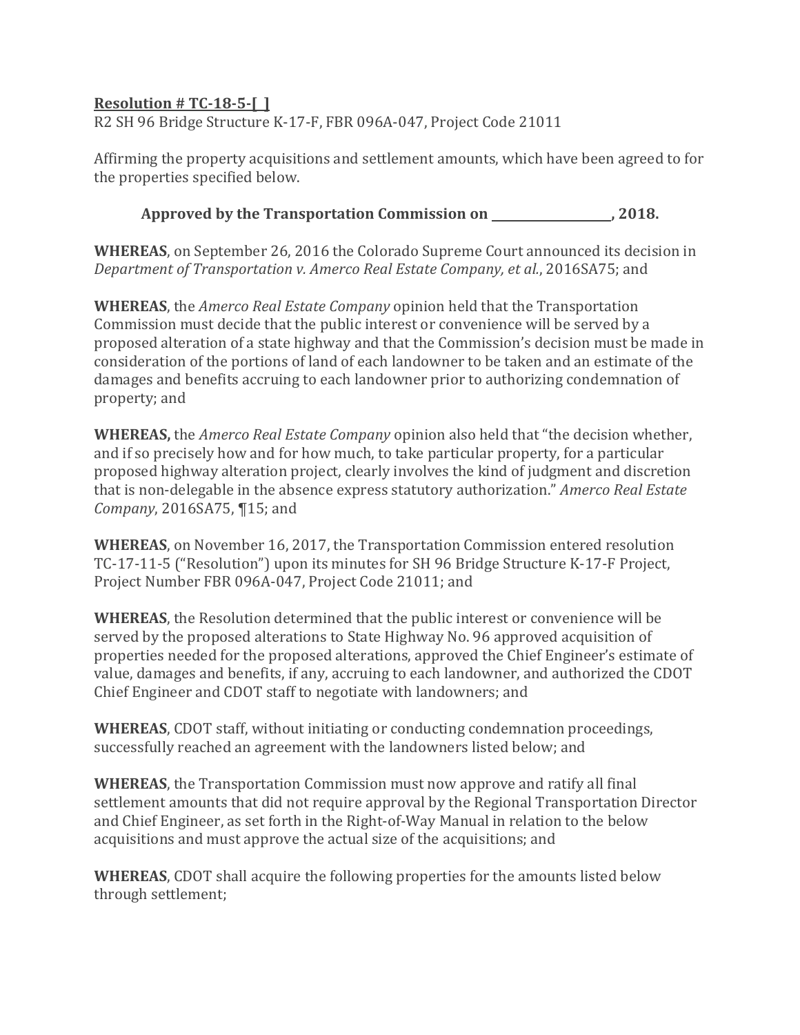## <span id="page-1-0"></span>**Resolution # TC‐18‐5‐[ ]**

R2 SH 96 Bridge Structure K-17-F, FBR 096A-047, Project Code 21011

Affirming the property acquisitions and settlement amounts, which have been agreed to for the properties specified below.

Approved by the Transportation Commission on \_\_\_\_\_\_\_\_\_\_\_\_\_\_\_\_\_\_\_, 2018.

**WHEREAS**, on September 26, 2016 the Colorado Supreme Court announced its decision in *Department of Transportation v. Amerco Real Estate Company, et al.*, 2016SA75; and 

**WHEREAS**, the *Amerco Real Estate Company* opinion held that the Transportation Commission must decide that the public interest or convenience will be served by a proposed alteration of a state highway and that the Commission's decision must be made in consideration of the portions of land of each landowner to be taken and an estimate of the damages and benefits accruing to each landowner prior to authorizing condemnation of property; and

**WHEREAS,** the *Amerco Real Estate Company* opinion also held that "the decision whether, and if so precisely how and for how much, to take particular property, for a particular proposed highway alteration project, clearly involves the kind of judgment and discretion that is non-delegable in the absence express statutory authorization." Amerco Real Estate *Company*, 2016SA75, ¶15; and

**WHEREAS**, on November 16, 2017, the Transportation Commission entered resolution TC-17-11-5 ("Resolution") upon its minutes for SH 96 Bridge Structure K-17-F Project, Project Number FBR 096A-047, Project Code 21011; and

**WHEREAS**, the Resolution determined that the public interest or convenience will be served by the proposed alterations to State Highway No. 96 approved acquisition of properties needed for the proposed alterations, approved the Chief Engineer's estimate of value, damages and benefits, if any, accruing to each landowner, and authorized the CDOT Chief Engineer and CDOT staff to negotiate with landowners; and

**WHEREAS**, CDOT staff, without initiating or conducting condemnation proceedings, successfully reached an agreement with the landowners listed below; and

**WHEREAS**, the Transportation Commission must now approve and ratify all final settlement amounts that did not require approval by the Regional Transportation Director and Chief Engineer, as set forth in the Right-of-Way Manual in relation to the below acquisitions and must approve the actual size of the acquisitions; and

**WHEREAS**, CDOT shall acquire the following properties for the amounts listed below through settlement;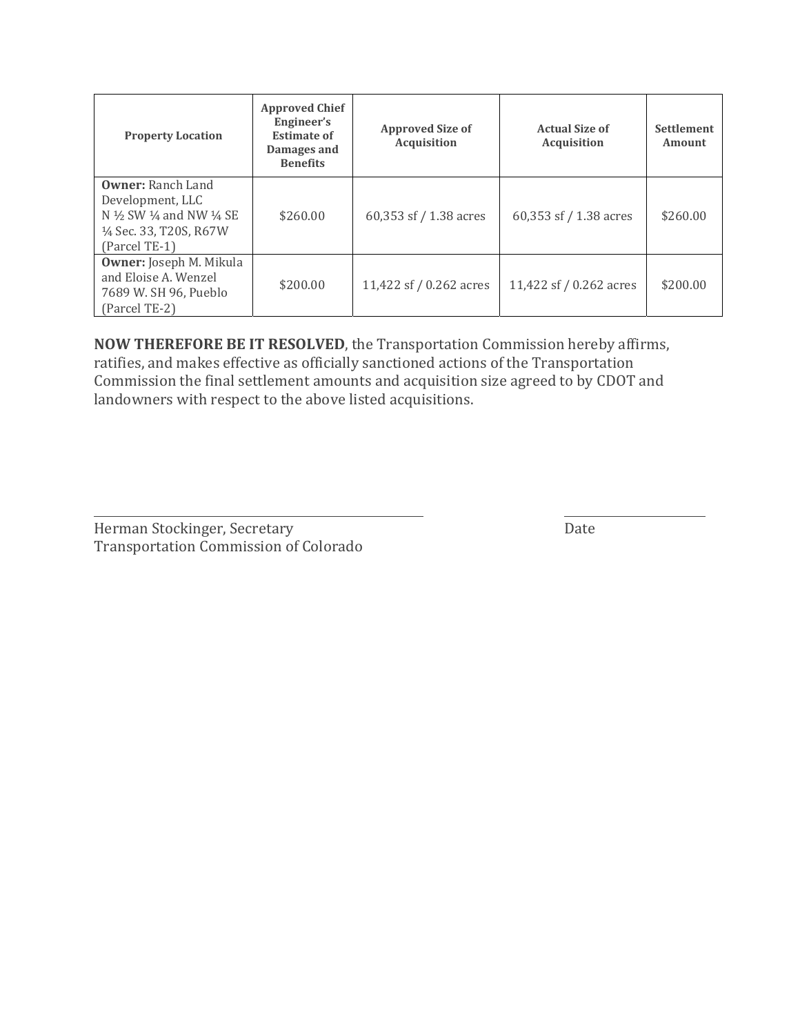| <b>Property Location</b>                                                                                                                             | <b>Approved Chief</b><br>Engineer's<br><b>Estimate of</b><br>Damages and<br><b>Benefits</b> | <b>Approved Size of</b><br><b>Acquisition</b> | <b>Actual Size of</b><br>Acquisition | <b>Settlement</b><br>Amount |
|------------------------------------------------------------------------------------------------------------------------------------------------------|---------------------------------------------------------------------------------------------|-----------------------------------------------|--------------------------------------|-----------------------------|
| <b>Owner: Ranch Land</b><br>Development, LLC<br>N $\frac{1}{2}$ SW $\frac{1}{4}$ and NW $\frac{1}{4}$ SE<br>1/4 Sec. 33, T20S, R67W<br>(Parcel TE-1) | \$260.00                                                                                    | 60,353 sf / 1.38 acres                        | 60,353 sf $/$ 1.38 acres             | \$260.00                    |
| <b>Owner:</b> Joseph M. Mikula<br>and Eloise A. Wenzel<br>7689 W. SH 96, Pueblo<br>(Parcel TE-2)                                                     | \$200.00                                                                                    | 11,422 sf / 0.262 acres                       | 11,422 sf / 0.262 acres              | \$200.00                    |

**NOW THEREFORE BE IT RESOLVED, the Transportation Commission hereby affirms,** ratifies, and makes effective as officially sanctioned actions of the Transportation Commission the final settlement amounts and acquisition size agreed to by CDOT and landowners with respect to the above listed acquisitions.

<u> 1989 - Andrea Santa Alemania, amerikana amerikana amerikana amerikana amerikana amerikana amerikana amerikan</u>

Herman Stockinger, Secretary **and Stockinger**, Secretary Transportation Commission of Colorado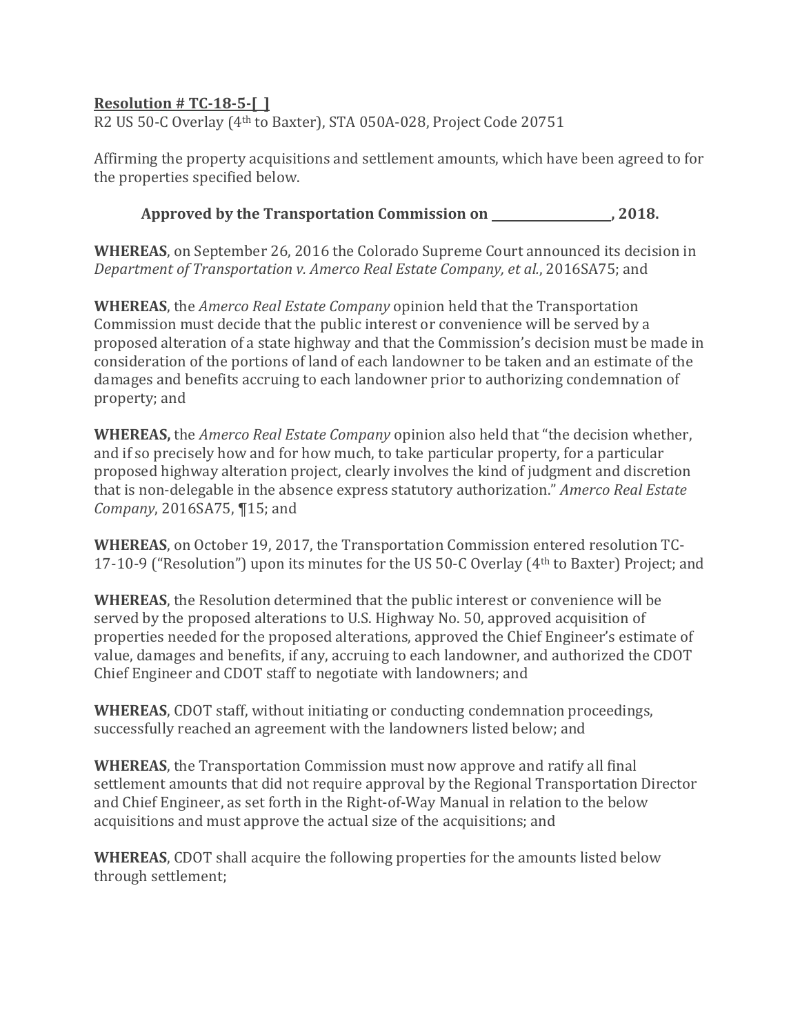## <span id="page-3-0"></span>**Resolution # TC‐18‐5‐[ ]**

R2 US 50-C Overlay (4<sup>th</sup> to Baxter), STA 050A-028, Project Code 20751

Affirming the property acquisitions and settlement amounts, which have been agreed to for the properties specified below.

**Approved by the Transportation Commission on , 2018.**

**WHEREAS**, on September 26, 2016 the Colorado Supreme Court announced its decision in *Department of Transportation v. Amerco Real Estate Company, et al.*, 2016SA75; and 

**WHEREAS**, the *Amerco Real Estate Company* opinion held that the Transportation Commission must decide that the public interest or convenience will be served by a proposed alteration of a state highway and that the Commission's decision must be made in consideration of the portions of land of each landowner to be taken and an estimate of the damages and benefits accruing to each landowner prior to authorizing condemnation of property; and

**WHEREAS,** the *Amerco Real Estate Company* opinion also held that "the decision whether, and if so precisely how and for how much, to take particular property, for a particular proposed highway alteration project, clearly involves the kind of judgment and discretion that is non-delegable in the absence express statutory authorization." Amerco Real Estate *Company*, 2016SA75, ¶15; and

**WHEREAS**, on October 19, 2017, the Transportation Commission entered resolution TC-17-10-9 ("Resolution") upon its minutes for the US 50-C Overlay  $(4<sup>th</sup>$  to Baxter) Project; and

**WHEREAS**, the Resolution determined that the public interest or convenience will be served by the proposed alterations to U.S. Highway No. 50, approved acquisition of properties needed for the proposed alterations, approved the Chief Engineer's estimate of value, damages and benefits, if any, accruing to each landowner, and authorized the CDOT Chief Engineer and CDOT staff to negotiate with landowners; and

**WHEREAS**, CDOT staff, without initiating or conducting condemnation proceedings, successfully reached an agreement with the landowners listed below; and

**WHEREAS**, the Transportation Commission must now approve and ratify all final settlement amounts that did not require approval by the Regional Transportation Director and Chief Engineer, as set forth in the Right-of-Way Manual in relation to the below acquisitions and must approve the actual size of the acquisitions; and

**WHEREAS**, CDOT shall acquire the following properties for the amounts listed below through settlement;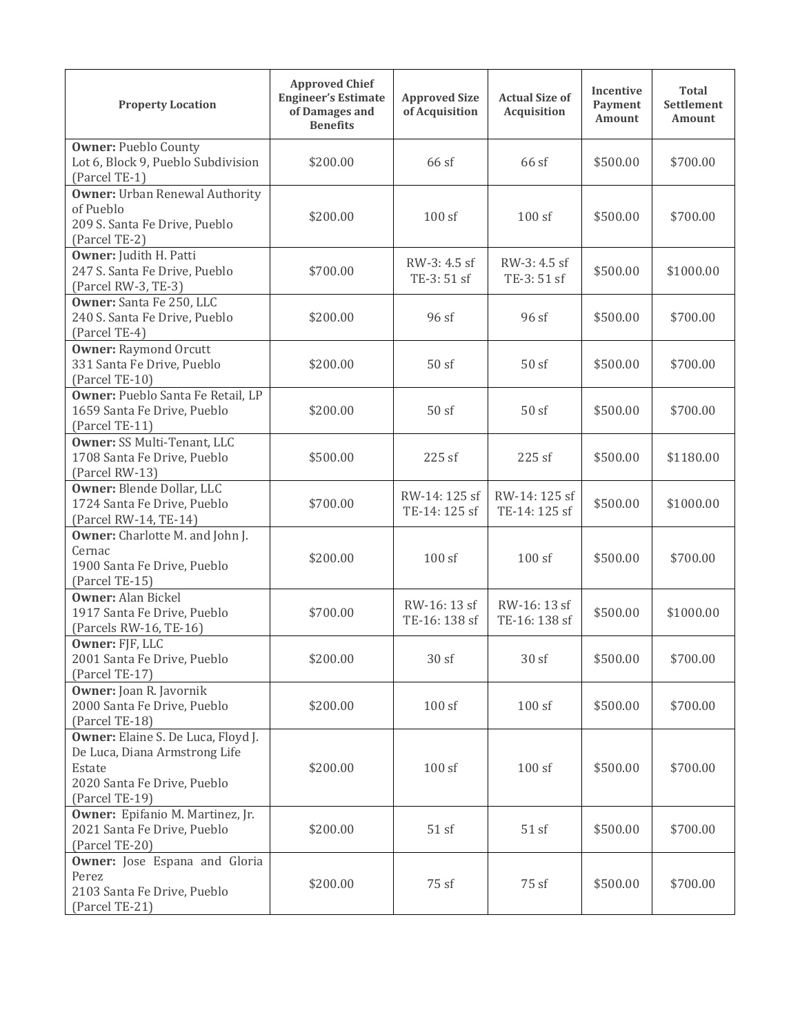| <b>Property Location</b>                                                                                                       | <b>Approved Chief</b><br><b>Engineer's Estimate</b><br>of Damages and<br><b>Benefits</b> | <b>Approved Size</b><br>of Acquisition | <b>Actual Size of</b><br>Acquisition |          | <b>Total</b><br><b>Settlement</b><br>Amount |
|--------------------------------------------------------------------------------------------------------------------------------|------------------------------------------------------------------------------------------|----------------------------------------|--------------------------------------|----------|---------------------------------------------|
| <b>Owner: Pueblo County</b><br>Lot 6, Block 9, Pueblo Subdivision<br>(Parcel TE-1)                                             | \$200.00                                                                                 | 66 sf                                  | 66 sf                                | \$500.00 | \$700.00                                    |
| <b>Owner: Urban Renewal Authority</b><br>of Pueblo<br>209 S. Santa Fe Drive, Pueblo<br>(Parcel TE-2)                           | \$200.00                                                                                 | 100sf                                  | 100sf                                | \$500.00 | \$700.00                                    |
| <b>Owner:</b> Judith H. Patti<br>247 S. Santa Fe Drive, Pueblo<br>(Parcel RW-3, TE-3)                                          | \$700.00                                                                                 | RW-3: 4.5 sf<br>TE-3: 51 sf            | RW-3: 4.5 sf<br>TE-3: 51 sf          |          | \$1000.00                                   |
| Owner: Santa Fe 250, LLC<br>240 S. Santa Fe Drive, Pueblo<br>(Parcel TE-4)                                                     | \$200.00                                                                                 | 96 sf                                  | 96 sf                                |          | \$700.00                                    |
| <b>Owner: Raymond Orcutt</b><br>331 Santa Fe Drive, Pueblo<br>(Parcel TE-10)                                                   | \$200.00                                                                                 | 50sf                                   | 50sf                                 | \$500.00 | \$700.00                                    |
| Owner: Pueblo Santa Fe Retail, LP<br>1659 Santa Fe Drive, Pueblo<br>(Parcel TE-11)                                             | \$200.00                                                                                 | 50sf                                   | 50sf                                 | \$500.00 | \$700.00                                    |
| Owner: SS Multi-Tenant, LLC<br>1708 Santa Fe Drive, Pueblo<br>(Parcel RW-13)                                                   | \$500.00                                                                                 | 225 sf                                 | 225 sf                               | \$500.00 | \$1180.00                                   |
| Owner: Blende Dollar, LLC<br>1724 Santa Fe Drive, Pueblo<br>(Parcel RW-14, TE-14)                                              | \$700.00                                                                                 | RW-14: 125 sf<br>TE-14: 125 sf         | RW-14: 125 sf<br>TE-14: 125 sf       | \$500.00 | \$1000.00                                   |
| Owner: Charlotte M. and John J.<br>Cernac<br>1900 Santa Fe Drive, Pueblo<br>(Parcel TE-15)                                     | \$200.00                                                                                 | 100sf                                  | 100sf                                | \$500.00 | \$700.00                                    |
| <b>Owner: Alan Bickel</b><br>1917 Santa Fe Drive, Pueblo<br>(Parcels RW-16, TE-16)                                             | \$700.00                                                                                 | RW-16: 13 sf<br>TE-16: 138 sf          | RW-16: 13 sf<br>TE-16: 138 sf        | \$500.00 | \$1000.00                                   |
| Owner: FJF, LLC<br>2001 Santa Fe Drive, Pueblo<br>(Parcel TE-17)                                                               | \$200.00                                                                                 | 30sf                                   | 30 sf                                | \$500.00 | \$700.00                                    |
| Owner: Joan R. Javornik<br>2000 Santa Fe Drive, Pueblo<br>(Parcel TE-18)                                                       | \$200.00                                                                                 | 100sf                                  | 100sf                                | \$500.00 | \$700.00                                    |
| Owner: Elaine S. De Luca, Floyd J.<br>De Luca, Diana Armstrong Life<br>Estate<br>2020 Santa Fe Drive, Pueblo<br>(Parcel TE-19) | \$200.00                                                                                 | 100sf                                  | 100sf                                | \$500.00 | \$700.00                                    |
| <b>Owner:</b> Epifanio M. Martinez, Jr.<br>2021 Santa Fe Drive, Pueblo<br>(Parcel TE-20)                                       | \$200.00                                                                                 | 51 sf                                  | 51sf                                 | \$500.00 | \$700.00                                    |
| Owner: Jose Espana and Gloria<br>Perez<br>2103 Santa Fe Drive, Pueblo<br>(Parcel TE-21)                                        | \$200.00                                                                                 | 75 sf                                  | 75 sf                                | \$500.00 | \$700.00                                    |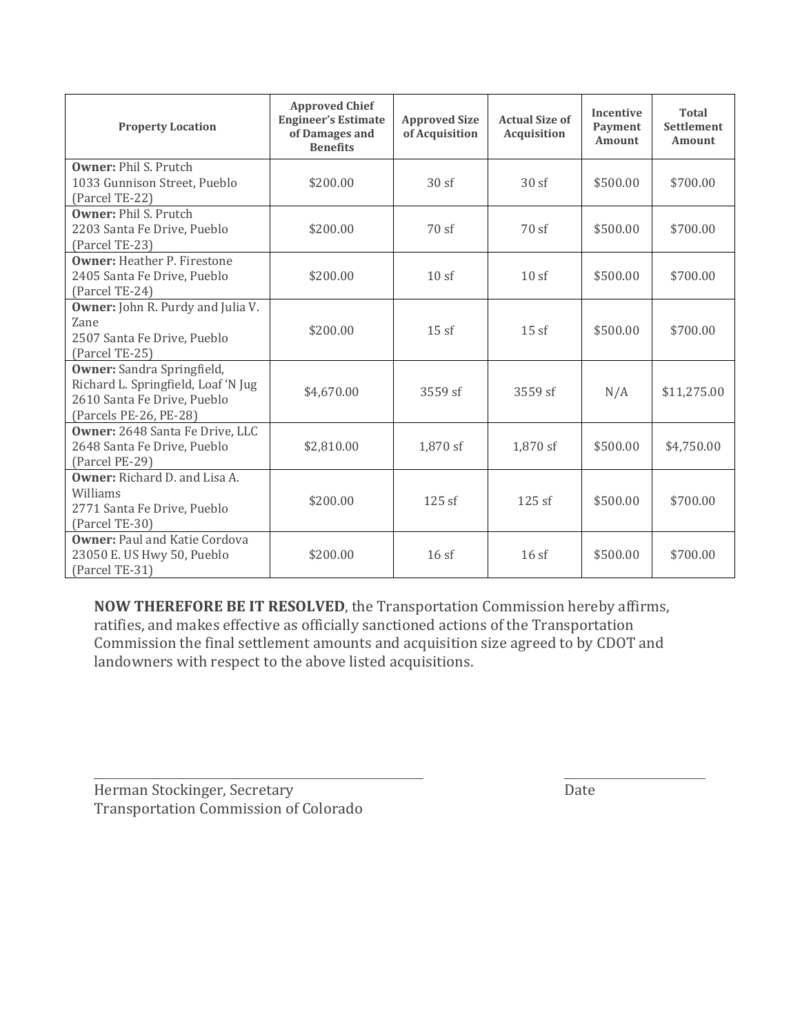| <b>Property Location</b>                                                                                                   | <b>Approved Chief</b><br><b>Engineer's Estimate</b><br>of Damages and<br><b>Benefits</b> | <b>Approved Size</b><br>of Acquisition | <b>Actual Size of</b><br><b>Acquisition</b> | <b>Incentive</b><br><b>Payment</b><br><b>Amount</b> | Total<br>Settlement<br><b>Amount</b> |
|----------------------------------------------------------------------------------------------------------------------------|------------------------------------------------------------------------------------------|----------------------------------------|---------------------------------------------|-----------------------------------------------------|--------------------------------------|
| <b>Owner: Phil S. Prutch</b><br>1033 Gunnison Street, Pueblo<br>(Parcel TE-22)                                             | \$200.00                                                                                 | 30sf<br>30sf                           |                                             | \$500.00                                            | \$700.00                             |
| <b>Owner: Phil S. Prutch</b><br>2203 Santa Fe Drive, Pueblo<br>(Parcel TE-23)                                              | \$200.00                                                                                 | 70sf                                   | 70sf                                        |                                                     | \$700.00                             |
| <b>Owner: Heather P. Firestone</b><br>2405 Santa Fe Drive, Pueblo<br>(Parcel TE-24)                                        | \$200.00                                                                                 | 10sf                                   | 10sf                                        | \$500.00                                            | \$700.00                             |
| <b>Owner:</b> John R. Purdy and Julia V.<br>Zane<br>2507 Santa Fe Drive, Pueblo<br>(Parcel TE-25)                          | \$200.00                                                                                 | 15sf                                   | 15sf                                        | \$500.00                                            | \$700.00                             |
| Owner: Sandra Springfield,<br>Richard L. Springfield, Loaf 'N Jug<br>2610 Santa Fe Drive, Pueblo<br>(Parcels PE-26, PE-28) | \$4,670.00                                                                               | $3559$ sf                              | $3559$ sf                                   | N/A                                                 | \$11,275.00                          |
| Owner: 2648 Santa Fe Drive, LLC<br>2648 Santa Fe Drive, Pueblo<br>(Parcel PE-29)                                           | \$2,810.00                                                                               | 1,870 sf                               | 1,870 sf                                    | \$500.00                                            | \$4,750.00                           |
| <b>Owner:</b> Richard D. and Lisa A.<br>Williams<br>2771 Santa Fe Drive, Pueblo<br>(Parcel TE-30)                          | \$200.00                                                                                 | 125sf                                  | 125sf                                       | \$500.00                                            | \$700.00                             |
| <b>Owner: Paul and Katie Cordova</b><br>23050 E. US Hwy 50, Pueblo<br>(Parcel TE-31)                                       | \$200.00                                                                                 | 16sf                                   | 16sf                                        | \$500.00                                            | \$700.00                             |

**NOW THEREFORE BE IT RESOLVED,** the Transportation Commission hereby affirms, ratifies, and makes effective as officially sanctioned actions of the Transportation Commission the final settlement amounts and acquisition size agreed to by CDOT and landowners with respect to the above listed acquisitions.

<u> 1989 - Andrea Barbara, Amerikaansk politik (</u>† 1908)

Herman Stockinger, Secretary **and Stockinger**, Secretary Transportation Commission of Colorado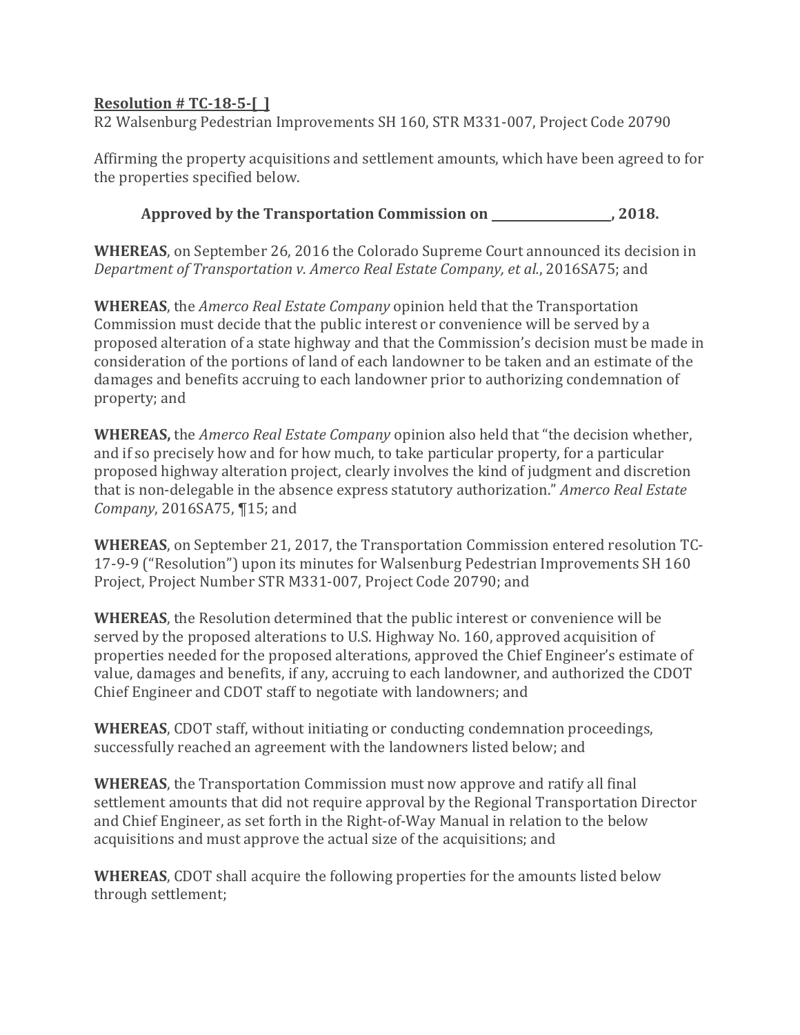## <span id="page-6-0"></span>**Resolution # TC‐18‐5‐[ ]**

R2 Walsenburg Pedestrian Improvements SH 160, STR M331-007, Project Code 20790

Affirming the property acquisitions and settlement amounts, which have been agreed to for the properties specified below.

Approved by the Transportation Commission on \_\_\_\_\_\_\_\_\_\_\_\_\_\_\_\_\_\_\_, 2018.

**WHEREAS**, on September 26, 2016 the Colorado Supreme Court announced its decision in *Department of Transportation v. Amerco Real Estate Company, et al.*, 2016SA75; and 

**WHEREAS**, the *Amerco Real Estate Company* opinion held that the Transportation Commission must decide that the public interest or convenience will be served by a proposed alteration of a state highway and that the Commission's decision must be made in consideration of the portions of land of each landowner to be taken and an estimate of the damages and benefits accruing to each landowner prior to authorizing condemnation of property; and

**WHEREAS,** the *Amerco Real Estate Company* opinion also held that "the decision whether, and if so precisely how and for how much, to take particular property, for a particular proposed highway alteration project, clearly involves the kind of judgment and discretion that is non-delegable in the absence express statutory authorization." Amerco Real Estate *Company*, 2016SA75, ¶15; and

**WHEREAS**, on September 21, 2017, the Transportation Commission entered resolution TC-17-9-9 ("Resolution") upon its minutes for Walsenburg Pedestrian Improvements SH 160 Project, Project Number STR M331-007, Project Code 20790; and

**WHEREAS**, the Resolution determined that the public interest or convenience will be served by the proposed alterations to U.S. Highway No. 160, approved acquisition of properties needed for the proposed alterations, approved the Chief Engineer's estimate of value, damages and benefits, if any, accruing to each landowner, and authorized the CDOT Chief Engineer and CDOT staff to negotiate with landowners; and

**WHEREAS**, CDOT staff, without initiating or conducting condemnation proceedings, successfully reached an agreement with the landowners listed below; and

**WHEREAS**, the Transportation Commission must now approve and ratify all final settlement amounts that did not require approval by the Regional Transportation Director and Chief Engineer, as set forth in the Right-of-Way Manual in relation to the below acquisitions and must approve the actual size of the acquisitions; and

**WHEREAS**, CDOT shall acquire the following properties for the amounts listed below through settlement;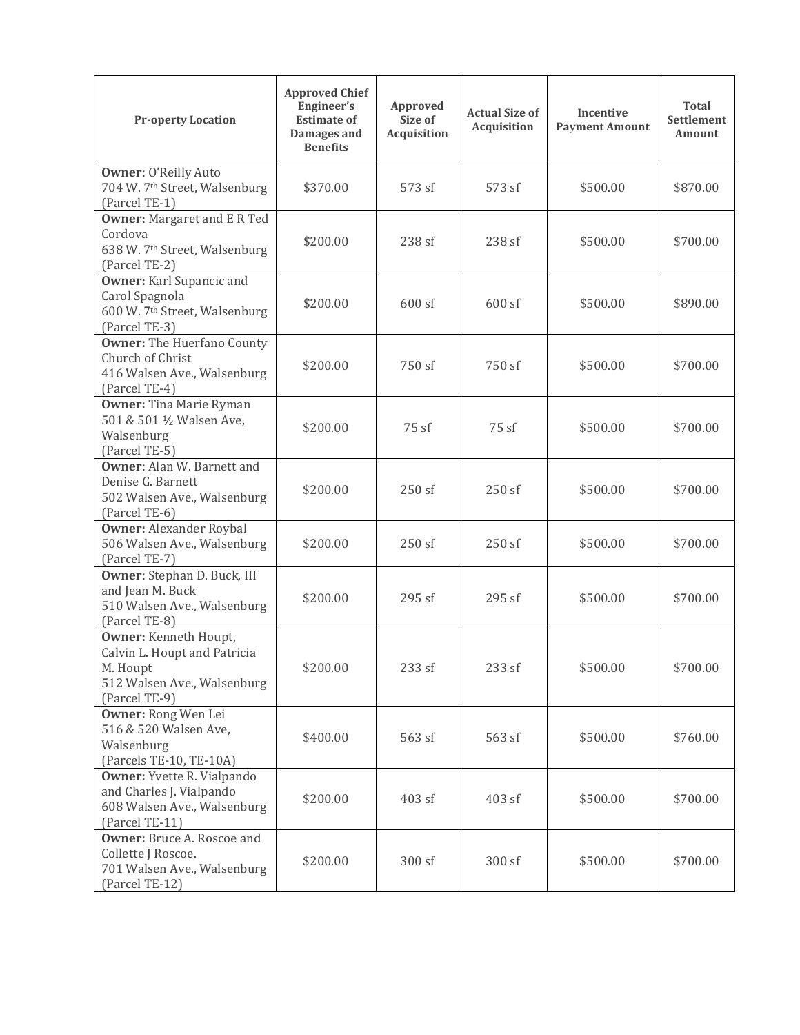| <b>Pr-operty Location</b>                                                                                                | <b>Approved Chief</b><br>Engineer's<br><b>Estimate of</b><br>Damages and<br><b>Benefits</b> | Approved<br>Size of<br><b>Acquisition</b> | <b>Actual Size of</b><br>Acquisition | <b>Incentive</b><br><b>Payment Amount</b> | <b>Total</b><br>Settlement<br><b>Amount</b> |
|--------------------------------------------------------------------------------------------------------------------------|---------------------------------------------------------------------------------------------|-------------------------------------------|--------------------------------------|-------------------------------------------|---------------------------------------------|
| <b>Owner: O'Reilly Auto</b><br>704 W. 7 <sup>th</sup> Street, Walsenburg<br>(Parcel TE-1)                                | \$370.00                                                                                    | 573 sf                                    | 573 sf                               | \$500.00                                  | \$870.00                                    |
| <b>Owner:</b> Margaret and E R Ted<br>Cordova<br>638 W. 7th Street, Walsenburg<br>(Parcel TE-2)                          | \$200.00                                                                                    | 238 sf                                    | 238 sf                               | \$500.00                                  | \$700.00                                    |
| <b>Owner:</b> Karl Supancic and<br>Carol Spagnola<br>600 W. 7 <sup>th</sup> Street, Walsenburg<br>(Parcel TE-3)          | \$200.00                                                                                    | $600$ sf                                  | 600 sf                               | \$500.00                                  | \$890.00                                    |
| <b>Owner:</b> The Huerfano County<br>Church of Christ<br>416 Walsen Ave., Walsenburg<br>(Parcel TE-4)                    | \$200.00                                                                                    | 750 sf                                    | 750 sf                               | \$500.00                                  | \$700.00                                    |
| <b>Owner:</b> Tina Marie Ryman<br>501 & 501 1/2 Walsen Ave,<br>Walsenburg<br>(Parcel TE-5)                               | \$200.00                                                                                    | 75 sf                                     | 75 sf                                | \$500.00                                  | \$700.00                                    |
| <b>Owner:</b> Alan W. Barnett and<br>Denise G. Barnett<br>502 Walsen Ave., Walsenburg<br>(Parcel TE-6)                   | \$200.00                                                                                    | 250 sf                                    | 250sf                                | \$500.00                                  | \$700.00                                    |
| <b>Owner: Alexander Roybal</b><br>506 Walsen Ave., Walsenburg<br>(Parcel TE-7)                                           | \$200.00                                                                                    | 250 sf                                    | 250 sf                               | \$500.00                                  | \$700.00                                    |
| Owner: Stephan D. Buck, III<br>and Jean M. Buck<br>510 Walsen Ave., Walsenburg<br>(Parcel TE-8)                          | \$200.00                                                                                    | 295sf                                     | 295 sf                               | \$500.00                                  | \$700.00                                    |
| <b>Owner:</b> Kenneth Houpt,<br>Calvin L. Houpt and Patricia<br>M. Houpt<br>512 Walsen Ave., Walsenburg<br>(Parcel TE-9) | \$200.00                                                                                    | 233 sf                                    | 233 sf                               | \$500.00                                  | \$700.00                                    |
| Owner: Rong Wen Lei<br>516 & 520 Walsen Ave,<br>Walsenburg<br>(Parcels TE-10, TE-10A)                                    | \$400.00                                                                                    | 563 sf                                    | 563 sf                               | \$500.00                                  | \$760.00                                    |
| <b>Owner:</b> Yvette R. Vialpando<br>and Charles J. Vialpando<br>608 Walsen Ave., Walsenburg<br>(Parcel TE-11)           | \$200.00                                                                                    | 403 sf                                    | 403 sf                               | \$500.00                                  | \$700.00                                    |
| <b>Owner:</b> Bruce A. Roscoe and<br>Collette J Roscoe.<br>701 Walsen Ave., Walsenburg<br>(Parcel TE-12)                 | \$200.00                                                                                    | 300 sf                                    | 300sf                                | \$500.00                                  | \$700.00                                    |